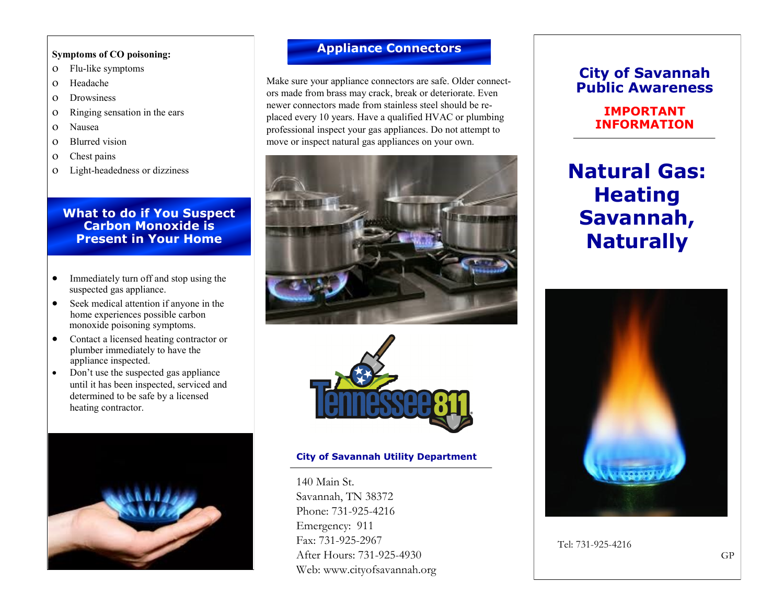#### **Symptoms of CO poisoning:**

- Flu-like symptoms
- Headache
- Drowsiness
- Ringing sensation in the ears
- Nausea
- Blurred vision
- Chest pains
- Light-headedness or dizziness

## **What to do if You Suspect Carbon Monoxide is Present in Your Home**

- Immediately turn off and stop using the suspected gas appliance.
- Seek medical attention if anyone in the home experiences possible carbon monoxide poisoning symptoms.
- Contact a licensed heating contractor or plumber immediately to have the appliance inspected.
- Don't use the suspected gas appliance until it has been inspected, serviced and determined to be safe by a licensed heating contractor.



# **Appliance Connectors**

Make sure your appliance connectors are safe. Older connectors made from brass may crack, break or deteriorate. Even newer connectors made from stainless steel should be replaced every 10 years. Have a qualified HVAC or plumbing professional inspect your gas appliances. Do not attempt to move or inspect natural gas appliances on your own.





### **City of Savannah Utility Department**

140 Main St. Savannah, TN 38372 Phone: 731-925-4216 Emergency: 911 Fax: 731-925-2967 After Hours: 731-925-4930 Web: www.cityofsavannah.org

## **City of Savannah Public Awareness**

## **IMPORTANT INFORMATION**

# **Natural Gas: Heating Savannah, Naturally**



Tel: 731-925-4216